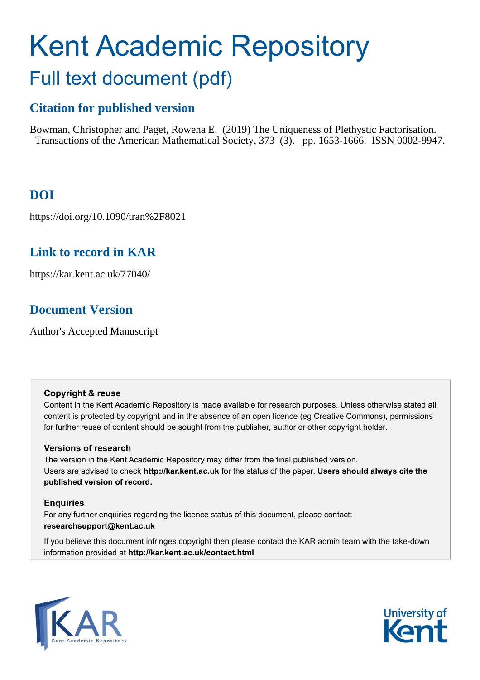# Kent Academic Repository Full text document (pdf)

# **Citation for published version**

Bowman, Christopher and Paget, Rowena E. (2019) The Uniqueness of Plethystic Factorisation. Transactions of the American Mathematical Society, 373 (3). pp. 1653-1666. ISSN 0002-9947.

# **DOI**

https://doi.org/10.1090/tran%2F8021

# **Link to record in KAR**

https://kar.kent.ac.uk/77040/

# **Document Version**

Author's Accepted Manuscript

## **Copyright & reuse**

Content in the Kent Academic Repository is made available for research purposes. Unless otherwise stated all content is protected by copyright and in the absence of an open licence (eg Creative Commons), permissions for further reuse of content should be sought from the publisher, author or other copyright holder.

## **Versions of research**

The version in the Kent Academic Repository may differ from the final published version. Users are advised to check **http://kar.kent.ac.uk** for the status of the paper. **Users should always cite the published version of record.**

## **Enquiries**

For any further enquiries regarding the licence status of this document, please contact: **researchsupport@kent.ac.uk**

If you believe this document infringes copyright then please contact the KAR admin team with the take-down information provided at **http://kar.kent.ac.uk/contact.html**



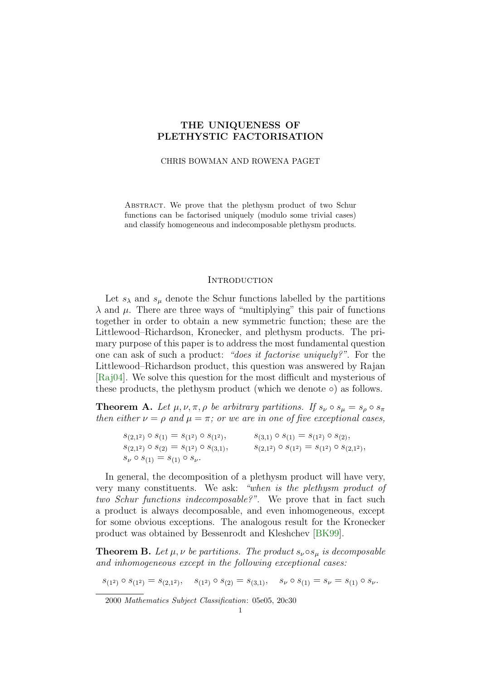## THE UNIQUENESS OF PLETHYSTIC FACTORISATION

#### CHRIS BOWMAN AND ROWENA PAGET

Abstract. We prove that the plethysm product of two Schur functions can be factorised uniquely (modulo some trivial cases) and classify homogeneous and indecomposable plethysm products.

#### **INTRODUCTION**

Let  $s_{\lambda}$  and  $s_{\mu}$  denote the Schur functions labelled by the partitions  $\lambda$  and  $\mu$ . There are three ways of "multiplying" this pair of functions together in order to obtain a new symmetric function; these are the Littlewood–Richardson, Kronecker, and plethysm products. The primary purpose of this paper is to address the most fundamental question one can ask of such a product: "does it factorise uniquely?". For the Littlewood–Richardson product, this question was answered by Rajan [Raj04]. We solve this question for the most difficult and mysterious of these products, the plethysm product (which we denote ∘) as follows.

**Theorem A.** Let  $\mu, \nu, \pi, \rho$  be arbitrary partitions. If  $s_{\nu} \circ s_{\mu} = s_{\rho} \circ s_{\pi}$ then either  $\nu = \rho$  and  $\mu = \pi$ ; or we are in one of five exceptional cases,

| $s_{(2,1^2)} \circ s_{(1)} = s_{(1^2)} \circ s_{(1^2)}$ , | $s_{(3,1)} \circ s_{(1)} = s_{(1^2)} \circ s_{(2)},$        |
|-----------------------------------------------------------|-------------------------------------------------------------|
| $s_{(2,1^2)} \circ s_{(2)} = s_{(1^2)} \circ s_{(3,1)},$  | $s_{(2,1^2)} \circ s_{(1^2)} = s_{(1^2)} \circ s_{(2,1^2)}$ |
| $s_{\nu} \circ s_{(1)} = s_{(1)} \circ s_{\nu}.$          |                                                             |

In general, the decomposition of a plethysm product will have very, very many constituents. We ask: "when is the plethysm product of two Schur functions indecomposable?". We prove that in fact such a product is always decomposable, and even inhomogeneous, except for some obvious exceptions. The analogous result for the Kronecker product was obtained by Bessenrodt and Kleshchev [BK99].

**Theorem B.** Let  $\mu, \nu$  be partitions. The product  $s_{\nu} \circ s_{\mu}$  is decomposable and inhomogeneous except in the following exceptional cases:

 $s_{(1^2)} \circ s_{(1^2)} = s_{(2,1^2)}, \quad s_{(1^2)} \circ s_{(2)} = s_{(3,1)}, \quad s_{\nu} \circ s_{(1)} = s_{\nu} = s_{(1)} \circ s_{\nu}.$ 

2000 Mathematics Subject Classification: 05e05, 20c30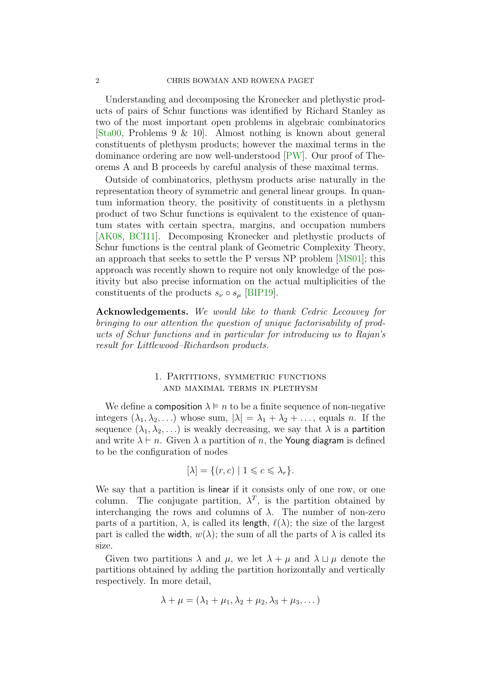#### 2 CHRIS BOWMAN AND ROWENA PAGET

Understanding and decomposing the Kronecker and plethystic products of pairs of Schur functions was identified by Richard Stanley as two of the most important open problems in algebraic combinatorics [Sta00, Problems 9 & 10]. Almost nothing is known about general constituents of plethysm products; however the maximal terms in the dominance ordering are now well-understood [PW]. Our proof of Theorems A and B proceeds by careful analysis of these maximal terms.

Outside of combinatorics, plethysm products arise naturally in the representation theory of symmetric and general linear groups. In quantum information theory, the positivity of constituents in a plethysm product of two Schur functions is equivalent to the existence of quantum states with certain spectra, margins, and occupation numbers [AK08, BCI11]. Decomposing Kronecker and plethystic products of Schur functions is the central plank of Geometric Complexity Theory, an approach that seeks to settle the P versus NP problem [MS01]; this approach was recently shown to require not only knowledge of the positivity but also precise information on the actual multiplicities of the constituents of the products  $s_{\nu} \circ s_{\mu}$  [BIP19].

Acknowledgements. We would like to thank Cedric Lecouvey for bringing to our attention the question of unique factorisability of products of Schur functions and in particular for introducing us to Rajan's result for Littlewood–Richardson products.

## 1. Partitions, symmetric functions and maximal terms in plethysm

We define a **composition**  $\lambda \models n$  to be a finite sequence of non-negative integers  $(\lambda_1, \lambda_2, ...)$  whose sum,  $|\lambda| = \lambda_1 + \lambda_2 + ...$ , equals n. If the sequence  $(\lambda_1, \lambda_2, \ldots)$  is weakly decreasing, we say that  $\lambda$  is a **partition** and write  $\lambda \vdash n$ . Given  $\lambda$  a partition of n, the Young diagram is defined to be the configuration of nodes

$$
[\lambda] = \{ (r, c) \mid 1 \leqslant c \leqslant \lambda_r \}.
$$

We say that a partition is linear if it consists only of one row, or one column. The conjugate partition,  $\lambda^T$ , is the partition obtained by interchanging the rows and columns of  $\lambda$ . The number of non-zero parts of a partition,  $\lambda$ , is called its length,  $\ell(\lambda)$ ; the size of the largest part is called the width,  $w(\lambda)$ ; the sum of all the parts of  $\lambda$  is called its size.

Given two partitions  $\lambda$  and  $\mu$ , we let  $\lambda + \mu$  and  $\lambda \sqcup \mu$  denote the partitions obtained by adding the partition horizontally and vertically respectively. In more detail,

$$
\lambda + \mu = (\lambda_1 + \mu_1, \lambda_2 + \mu_2, \lambda_3 + \mu_3, \dots)
$$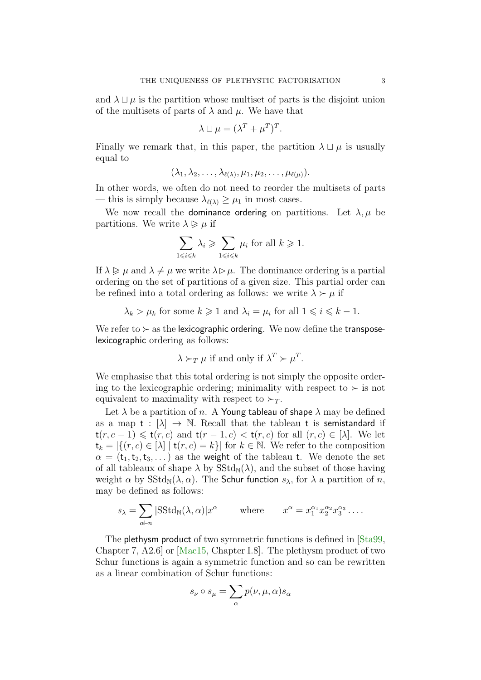and  $\lambda \sqcup \mu$  is the partition whose multiset of parts is the disjoint union of the multisets of parts of  $\lambda$  and  $\mu$ . We have that

$$
\lambda \sqcup \mu = (\lambda^T + \mu^T)^T.
$$

Finally we remark that, in this paper, the partition  $\lambda \sqcup \mu$  is usually equal to

$$
(\lambda_1, \lambda_2, \ldots, \lambda_{\ell(\lambda)}, \mu_1, \mu_2, \ldots, \mu_{\ell(\mu)}).
$$

In other words, we often do not need to reorder the multisets of parts — this is simply because  $\lambda_{\ell(\lambda)} \geq \mu_1$  in most cases.

We now recall the dominance ordering on partitions. Let  $\lambda, \mu$  be partitions. We write  $\lambda \geq \mu$  if

$$
\sum_{1 \leq i \leq k} \lambda_i \geq \sum_{1 \leq i \leq k} \mu_i \text{ for all } k \geq 1.
$$

If  $\lambda \geq \mu$  and  $\lambda \neq \mu$  we write  $\lambda \geq \mu$ . The dominance ordering is a partial ordering on the set of partitions of a given size. This partial order can be refined into a total ordering as follows: we write  $\lambda \succ \mu$  if

$$
\lambda_k > \mu_k
$$
 for some  $k \ge 1$  and  $\lambda_i = \mu_i$  for all  $1 \le i \le k - 1$ .

We refer to  $\succ$  as the lexicographic ordering. We now define the transposelexicographic ordering as follows:

$$
\lambda \succ_T \mu
$$
 if and only if  $\lambda^T \succ \mu^T$ .

We emphasise that this total ordering is not simply the opposite ordering to the lexicographic ordering; minimality with respect to  $\succ$  is not equivalent to maximality with respect to  $\succ_T$ .

Let  $\lambda$  be a partition of n. A Young tableau of shape  $\lambda$  may be defined as a map  $t : [\lambda] \to \mathbb{N}$ . Recall that the tableau t is semistandard if  $t(r, c - 1) \leq t(r, c)$  and  $t(r - 1, c) < t(r, c)$  for all  $(r, c) \in [\lambda]$ . We let  $t_k = |\{(r, c) \in [\lambda] | t(r, c) = k\}|$  for  $k \in \mathbb{N}$ . We refer to the composition  $\alpha = (t_1, t_2, t_3, \dots)$  as the weight of the tableau t. We denote the set of all tableaux of shape  $\lambda$  by  $\text{SStd}_N(\lambda)$ , and the subset of those having weight  $\alpha$  by  $\text{SStd}_{\mathbb{N}}(\lambda, \alpha)$ . The Schur function  $s_{\lambda}$ , for  $\lambda$  a partition of n, may be defined as follows:

$$
s_{\lambda} = \sum_{\alpha \vDash n} |{\rm SStd}_{\mathbb{N}}(\lambda, \alpha)| x^{\alpha} \qquad \text{where} \qquad x^{\alpha} = x_1^{\alpha_1} x_2^{\alpha_2} x_3^{\alpha_3} \dots
$$

The plethysm product of two symmetric functions is defined in [Sta99, Chapter 7, A2.6] or [Mac15, Chapter I.8]. The plethysm product of two Schur functions is again a symmetric function and so can be rewritten as a linear combination of Schur functions:

$$
s_\nu\circ s_\mu=\sum_\alpha p(\nu,\mu,\alpha)s_\alpha
$$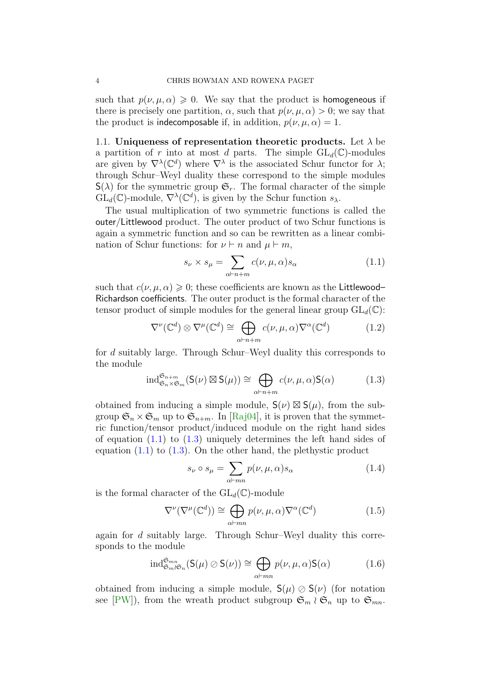such that  $p(\nu, \mu, \alpha) \geq 0$ . We say that the product is homogeneous if there is precisely one partition,  $\alpha$ , such that  $p(\nu, \mu, \alpha) > 0$ ; we say that the product is indecomposable if, in addition,  $p(\nu, \mu, \alpha) = 1$ .

1.1. Uniqueness of representation theoretic products. Let  $\lambda$  be a partition of r into at most d parts. The simple  $GL_d(\mathbb{C})$ -modules are given by  $\nabla^{\lambda}(\mathbb{C}^d)$  where  $\nabla^{\lambda}$  is the associated Schur functor for  $\lambda$ ; through Schur–Weyl duality these correspond to the simple modules  $S(\lambda)$  for the symmetric group  $\mathfrak{S}_r$ . The formal character of the simple  $GL_d(\mathbb{C})$ -module,  $\nabla^{\lambda}(\mathbb{C}^d)$ , is given by the Schur function  $s_{\lambda}$ .

The usual multiplication of two symmetric functions is called the outer/Littlewood product. The outer product of two Schur functions is again a symmetric function and so can be rewritten as a linear combination of Schur functions: for  $\nu \vdash n$  and  $\mu \vdash m$ ,

$$
s_{\nu} \times s_{\mu} = \sum_{\alpha \vdash n+m} c(\nu, \mu, \alpha) s_{\alpha} \tag{1.1}
$$

such that  $c(\nu, \mu, \alpha) \geq 0$ ; these coefficients are known as the Littlewood– Richardson coefficients. The outer product is the formal character of the tensor product of simple modules for the general linear group  $GL_d(\mathbb{C})$ :

$$
\nabla^{\nu}(\mathbb{C}^{d}) \otimes \nabla^{\mu}(\mathbb{C}^{d}) \cong \bigoplus_{\alpha \vdash n+m} c(\nu, \mu, \alpha) \nabla^{\alpha}(\mathbb{C}^{d})
$$
(1.2)

for d suitably large. Through Schur–Weyl duality this corresponds to the module

$$
\mathrm{ind}_{\mathfrak{S}_n \times \mathfrak{S}_m}^{\mathfrak{S}_{n+m}}(\mathsf{S}(\nu) \boxtimes \mathsf{S}(\mu)) \cong \bigoplus_{\alpha \vdash n+m} c(\nu, \mu, \alpha) \mathsf{S}(\alpha) \tag{1.3}
$$

obtained from inducing a simple module,  $S(\nu) \boxtimes S(\mu)$ , from the subgroup  $\mathfrak{S}_n \times \mathfrak{S}_m$  up to  $\mathfrak{S}_{n+m}$ . In [Raj04], it is proven that the symmetric function/tensor product/induced module on the right hand sides of equation  $(1.1)$  to  $(1.3)$  uniquely determines the left hand sides of equation  $(1.1)$  to  $(1.3)$ . On the other hand, the plethystic product

$$
s_{\nu} \circ s_{\mu} = \sum_{\alpha \vdash mn} p(\nu, \mu, \alpha) s_{\alpha} \tag{1.4}
$$

is the formal character of the  $GL_d(\mathbb{C})$ -module

$$
\nabla^{\nu}(\nabla^{\mu}(\mathbb{C}^{d})) \cong \bigoplus_{\alpha \vdash mn} p(\nu, \mu, \alpha) \nabla^{\alpha}(\mathbb{C}^{d})
$$
\n(1.5)

again for d suitably large. Through Schur–Weyl duality this corresponds to the module

$$
\mathrm{ind}^{\mathfrak{S}_{mn}}_{\mathfrak{S}_m \wr \mathfrak{S}_n}(\mathsf{S}(\mu) \oslash \mathsf{S}(\nu)) \cong \bigoplus_{\alpha \vdash mn} p(\nu, \mu, \alpha) \mathsf{S}(\alpha) \tag{1.6}
$$

obtained from inducing a simple module,  $S(\mu) \oslash S(\nu)$  (for notation see [PW]), from the wreath product subgroup  $\mathfrak{S}_m \wr \mathfrak{S}_n$  up to  $\mathfrak{S}_{mn}$ .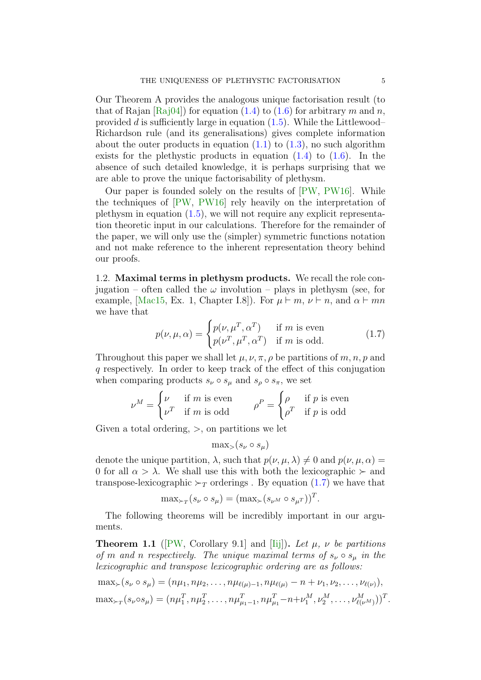Our Theorem A provides the analogous unique factorisation result (to that of Rajan  $[Rai04]$  for equation (1.4) to (1.6) for arbitrary m and n, provided d is sufficiently large in equation  $(1.5)$ . While the Littlewood– Richardson rule (and its generalisations) gives complete information about the outer products in equation  $(1.1)$  to  $(1.3)$ , no such algorithm exists for the plethystic products in equation  $(1.4)$  to  $(1.6)$ . In the absence of such detailed knowledge, it is perhaps surprising that we are able to prove the unique factorisability of plethysm.

Our paper is founded solely on the results of [PW, PW16]. While the techniques of [PW, PW16] rely heavily on the interpretation of plethysm in equation  $(1.5)$ , we will not require any explicit representation theoretic input in our calculations. Therefore for the remainder of the paper, we will only use the (simpler) symmetric functions notation and not make reference to the inherent representation theory behind our proofs.

1.2. Maximal terms in plethysm products. We recall the role conjugation – often called the  $\omega$  involution – plays in plethysm (see, for example, [Mac15, Ex. 1, Chapter I.8]). For  $\mu \vdash m, \nu \vdash n$ , and  $\alpha \vdash mn$ we have that

$$
p(\nu, \mu, \alpha) = \begin{cases} p(\nu, \mu^T, \alpha^T) & \text{if } m \text{ is even} \\ p(\nu^T, \mu^T, \alpha^T) & \text{if } m \text{ is odd.} \end{cases}
$$
 (1.7)

Throughout this paper we shall let  $\mu$ ,  $\nu$ ,  $\pi$ ,  $\rho$  be partitions of m, n, p and q respectively. In order to keep track of the effect of this conjugation when comparing products  $s_{\nu} \circ s_{\mu}$  and  $s_{\rho} \circ s_{\pi}$ , we set

$$
\nu^M = \begin{cases} \nu & \text{if } m \text{ is even} \\ \nu^T & \text{if } m \text{ is odd} \end{cases} \qquad \rho^P = \begin{cases} \rho & \text{if } p \text{ is even} \\ \rho^T & \text{if } p \text{ is odd} \end{cases}
$$

Given a total ordering,  $>$ , on partitions we let

$$
\max_{>}(s_{\nu} \circ s_{\mu})
$$

denote the unique partition,  $\lambda$ , such that  $p(\nu, \mu, \lambda) \neq 0$  and  $p(\nu, \mu, \alpha) =$ 0 for all  $\alpha > \lambda$ . We shall use this with both the lexicographic  $\succ$  and transpose-lexicographic  $\succ_T$  orderings. By equation (1.7) we have that

$$
\max_{\succ_T} (s_{\nu} \circ s_{\mu}) = (\max_{\succ} (s_{\nu^M} \circ s_{\mu^T}))^T.
$$

The following theorems will be incredibly important in our arguments.

**Theorem 1.1** ([PW, Corollary 9.1] and [Iij]). Let  $\mu$ ,  $\nu$  be partitions of m and n respectively. The unique maximal terms of  $s_{\nu} \circ s_{\mu}$  in the lexicographic and transpose lexicographic ordering are as follows:

 $\max_{\succ}(s_{\nu} \circ s_{\mu}) = (n\mu_1, n\mu_2, \ldots, n\mu_{\ell(\mu)-1}, n\mu_{\ell(\mu)} - n + \nu_1, \nu_2, \ldots, \nu_{\ell(\nu)}),$  $\max_{\succ_T}(s_{\nu} \circ s_{\mu}) = (n\mu_1^T, n\mu_2^T, \dots, n\mu_{\mu_1-1}^T, n\mu_{\mu_1}^T - n + \nu_1^M, \nu_2^M, \dots, \nu_{\ell(\nu^M)}^M)^T.$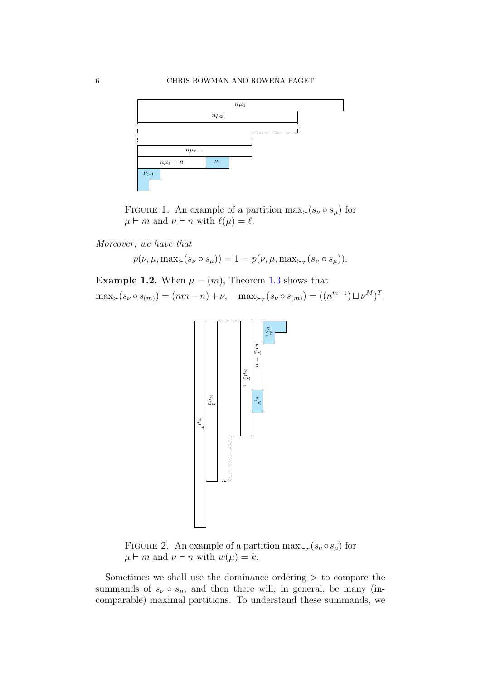

FIGURE 1. An example of a partition  $\max_{\succ}(s_{\nu} \circ s_{\mu})$  for  $\mu \vdash m$  and  $\nu \vdash n$  with  $\ell(\mu) = \ell$ .

Moreover, we have that

 $p(\nu, \mu, \max_{\succ}(s_{\nu} \circ s_{\mu})) = 1 = p(\nu, \mu, \max_{\succ_{T}}(s_{\nu} \circ s_{\mu})).$ 

**Example 1.2.** When  $\mu = (m)$ , Theorem 1.3 shows that  $\max_{\succ} (s_{\nu} \circ s_{(m)}) = (nm - n) + \nu, \quad \max_{\succ_T} (s_{\nu} \circ s_{(m)}) = ((n^{m-1}) \sqcup \nu^M)^T.$ 



FIGURE 2. An example of a partition  $\max_{\succ_T} (s_\nu \circ s_\mu)$  for  $\mu \vdash m$  and  $\nu \vdash n$  with  $w(\mu) = k$ .

Sometimes we shall use the dominance ordering  $\triangleright$  to compare the summands of  $s_{\nu} \circ s_{\mu}$ , and then there will, in general, be many (incomparable) maximal partitions. To understand these summands, we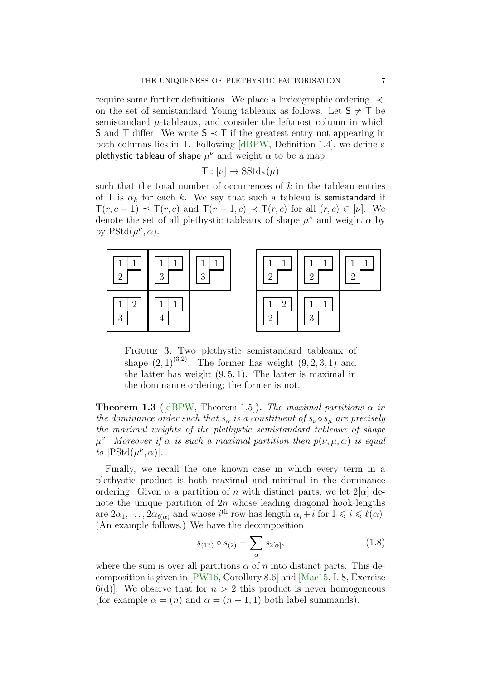require some further definitions. We place a lexicographic ordering, ≺, on the set of semistandard Young tableaux as follows. Let  $S \neq T$  be semistandard  $\mu$ -tableaux, and consider the leftmost column in which S and T differ. We write  $S$   $\prec$  T if the greatest entry not appearing in both columns lies in T. Following [dBPW, Definition 1.4], we define a plethystic tableau of shape  $\mu^{\nu}$  and weight  $\alpha$  to be a map

$$
\mathsf{T}:[\nu]\to\mathop{\mathrm{SStd}}\nolimits_{\mathbb N}(\mu)
$$

such that the total number of occurrences of  $k$  in the tableau entries of T is  $\alpha_k$  for each k. We say that such a tableau is semistandard if  $\mathsf{T}(r, c-1) \preceq \mathsf{T}(r, c)$  and  $\mathsf{T}(r-1, c) \prec \mathsf{T}(r, c)$  for all  $(r, c) \in [\nu]$ . We denote the set of all plethystic tableaux of shape  $\mu^{\nu}$  and weight  $\alpha$  by by  $PStd(\mu^{\nu}, \alpha)$ .





Figure 3. Two plethystic semistandard tableaux of shape  $(2, 1)^{(3,2)}$ . The former has weight  $(9, 2, 3, 1)$  and the latter has weight  $(9, 5, 1)$ . The latter is maximal in the dominance ordering; the former is not.

**Theorem 1.3** ([dBPW, Theorem 1.5]). The maximal partitions  $\alpha$  in the dominance order such that  $s_{\alpha}$  is a constituent of  $s_{\nu} \circ s_{\mu}$  are precisely the maximal weights of the plethystic semistandard tableaux of shape  $\mu^{\nu}$ . Moreover if  $\alpha$  is such a maximal partition then  $p(\nu,\mu,\alpha)$  is equal to  $|PStd(\mu^{\nu}, \alpha)|$ .

Finally, we recall the one known case in which every term in a plethystic product is both maximal and minimal in the dominance ordering. Given  $\alpha$  a partition of n with distinct parts, we let  $2[\alpha]$  denote the unique partition of  $2n$  whose leading diagonal hook-lengths are  $2\alpha_1, \ldots, 2\alpha_{\ell(\alpha)}$  and whose  $i^{\text{th}}$  row has length  $\alpha_i + i$  for  $1 \leq i \leq \ell(\alpha)$ . (An example follows.) We have the decomposition

$$
s_{(1^n)} \circ s_{(2)} = \sum_{\alpha} s_{2[\alpha]}, \tag{1.8}
$$

where the sum is over all partitions  $\alpha$  of n into distinct parts. This decomposition is given in [PW16, Corollary 8.6] and [Mac15, I. 8, Exercise  $6(d)$ . We observe that for  $n > 2$  this product is never homogeneous (for example  $\alpha = (n)$  and  $\alpha = (n-1,1)$  both label summands).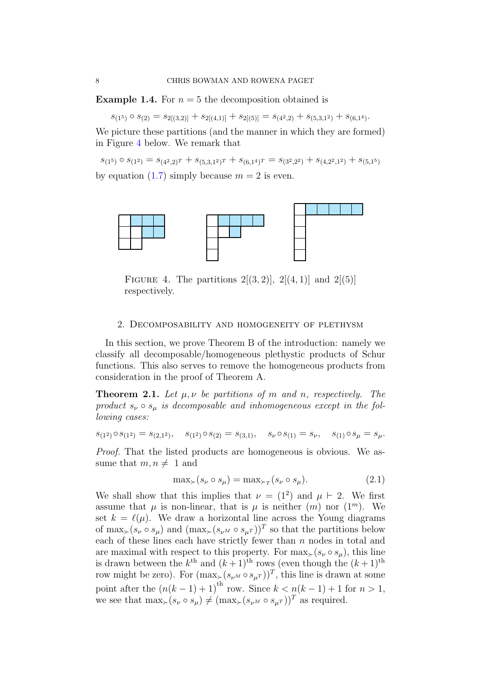**Example 1.4.** For  $n = 5$  the decomposition obtained is

 $s_{(1^5)} \circ s_{(2)} = s_{2[(3,2)]} + s_{2[(4,1)]} + s_{2[(5)]} = s_{(4^2,2)} + s_{(5,3,1^2)} + s_{(6,1^4)}.$ 

We picture these partitions (and the manner in which they are formed) in Figure 4 below. We remark that

 $s_{(1^5)} \circ s_{(1^2)} = s_{(4^2,2)^T} + s_{(5,3,1^2)^T} + s_{(6,1^4)^T} = s_{(3^2,2^2)} + s_{(4,2^2,1^2)} + s_{(5,1^5)}$ by equation (1.7) simply because  $m = 2$  is even.



FIGURE 4. The partitions  $2[(3, 2)]$ ,  $2[(4, 1)]$  and  $2[(5)]$ respectively.

#### 2. Decomposability and homogeneity of plethysm

In this section, we prove Theorem B of the introduction: namely we classify all decomposable/homogeneous plethystic products of Schur functions. This also serves to remove the homogeneous products from consideration in the proof of Theorem A.

**Theorem 2.1.** Let  $\mu, \nu$  be partitions of m and n, respectively. The product  $s_{\nu} \circ s_{\mu}$  is decomposable and inhomogeneous except in the following cases:

$$
s_{(1^2)} \circ s_{(1^2)} = s_{(2,1^2)}, \quad s_{(1^2)} \circ s_{(2)} = s_{(3,1)}, \quad s_{\nu} \circ s_{(1)} = s_{\nu}, \quad s_{(1)} \circ s_{\mu} = s_{\mu}.
$$

Proof. That the listed products are homogeneous is obvious. We assume that  $m, n \neq 1$  and

$$
\max_{\succ} (s_{\nu} \circ s_{\mu}) = \max_{\succ_T} (s_{\nu} \circ s_{\mu}). \tag{2.1}
$$

We shall show that this implies that  $\nu = (1^2)$  and  $\mu \vdash 2$ . We first assume that  $\mu$  is non-linear, that is  $\mu$  is neither  $(m)$  nor  $(1^m)$ . We set  $k = \ell(\mu)$ . We draw a horizontal line across the Young diagrams of  $\max_{\succ} (s_{\nu} \circ s_{\mu})$  and  $(\max_{\succ} (s_{\nu^M} \circ s_{\mu^T}))^T$  so that the partitions below each of these lines each have strictly fewer than  $n$  nodes in total and are maximal with respect to this property. For  $\max_{s}(s_{\nu} \circ s_{\mu})$ , this line is drawn between the  $k^{\text{th}}$  and  $(k+1)^{\text{th}}$  rows (even though the  $(k+1)^{\text{th}}$ row might be zero). For  $(\max_{\succ} (s_{\nu^M} \circ s_{\mu^T}))^T$ , this line is drawn at some point after the  $(n(k-1)+1)$ <sup>th</sup> row. Since  $k < n(k-1)+1$  for  $n > 1$ , we see that  $\max_{s}(s_{\nu} \circ s_{\nu}) \neq (\max_{s} (s_{\nu^{M}} \circ s_{\nu^{T}}))^T$  as required.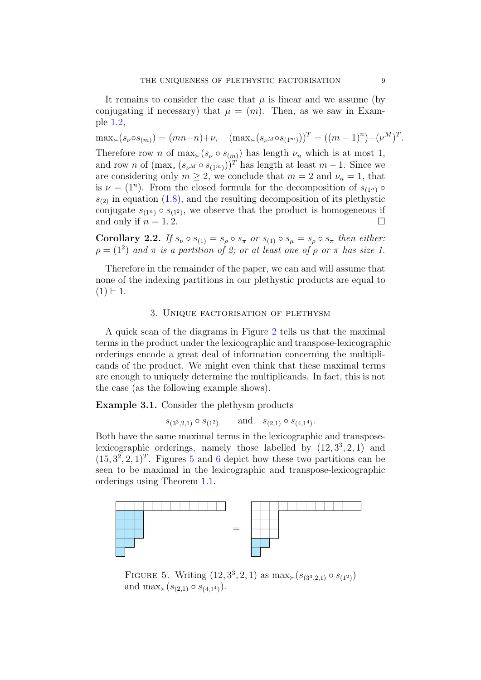It remains to consider the case that  $\mu$  is linear and we assume (by conjugating if necessary) that  $\mu = (m)$ . Then, as we saw in Example 1.2,

 $\max_{\succ}(s_{\nu} \circ s_{(m)}) = (mn-n)+\nu, \quad (\max_{\succ}(s_{\nu} \circ s_{(1^m)}))^T = ((m-1)^n) + (\nu^M)^T.$ 

Therefore row n of  $\max_{\succ}(s_{\nu} \circ s_{(m)})$  has length  $\nu_n$  which is at most 1, and row n of  $(\max_{\succ}(s_{\nu^M} \circ s_{(1^m)}))^T$  has length at least  $m-1$ . Since we are considering only  $m \ge 2$ , we conclude that  $m = 2$  and  $\nu_n = 1$ , that is  $\nu = (1^n)$ . From the closed formula for the decomposition of  $s_{(1^n)}$  $s_{(2)}$  in equation (1.8), and the resulting decomposition of its plethystic conjugate  $s_{(1^n)} \circ s_{(1^2)}$ , we observe that the product is homogeneous if and only if  $n = 1, 2$ .

**Corollary 2.2.** If  $s_{\nu} \circ s_{(1)} = s_{\rho} \circ s_{\pi}$  or  $s_{(1)} \circ s_{\mu} = s_{\rho} \circ s_{\pi}$  then either:  $\rho = (1^2)$  and  $\pi$  is a partition of 2; or at least one of  $\rho$  or  $\pi$  has size 1.

Therefore in the remainder of the paper, we can and will assume that none of the indexing partitions in our plethystic products are equal to  $(1) \vdash 1.$ 

#### 3. Unique factorisation of plethysm

A quick scan of the diagrams in Figure 2 tells us that the maximal terms in the product under the lexicographic and transpose-lexicographic orderings encode a great deal of information concerning the multiplicands of the product. We might even think that these maximal terms are enough to uniquely determine the multiplicands. In fact, this is not the case (as the following example shows).

Example 3.1. Consider the plethysm products

 $s_{(3^3,2,1)} \circ s_{(1^2)}$  and  $s_{(2,1)} \circ s_{(4,1^4)}$ .

Both have the same maximal terms in the lexicographic and transposelexicographic orderings, namely those labelled by  $(12, 3^3, 2, 1)$  and  $(15, 3^2, 2, 1)^T$ . Figures 5 and 6 depict how these two partitions can be seen to be maximal in the lexicographic and transpose-lexicographic orderings using Theorem 1.1.



FIGURE 5. Writing  $(12, 3^3, 2, 1)$  as  $\max_{\succ} (s_{(3^3,2,1)} \circ s_{(1^2)})$ and max $\succ (s_{(2,1)} \circ s_{(4,14)}).$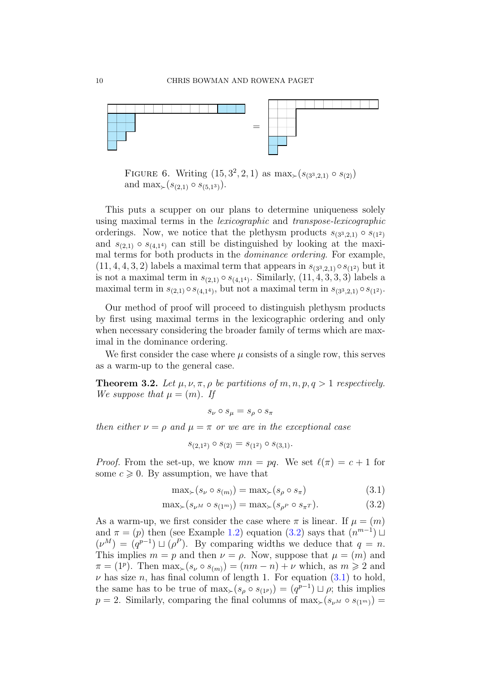

FIGURE 6. Writing  $(15, 3^2, 2, 1)$  as max $\succ (s_{(3^3,2,1)} \circ s_{(2)})$ and  $\max_{\succ} (s_{(2,1)} \circ s_{(5,1^3)}).$ 

This puts a scupper on our plans to determine uniqueness solely using maximal terms in the lexicographic and transpose-lexicographic orderings. Now, we notice that the plethysm products  $s_{(3^3,2,1)} \circ s_{(1^2)}$ and  $s_{(2,1)} \circ s_{(4,1^4)}$  can still be distinguished by looking at the maximal terms for both products in the dominance ordering. For example,  $(11, 4, 4, 3, 2)$  labels a maximal term that appears in  $s_{(3^3,2,1)} \circ s_{(1^2)}$  but it is not a maximal term in  $s_{(2,1)} \circ s_{(4,1^4)}$ . Similarly,  $(11, 4, 3, 3, 3)$  labels a maximal term in  $s_{(2,1)} \circ s_{(4,1^4)}$ , but not a maximal term in  $s_{(3^3,2,1)} \circ s_{(1^2)}$ .

Our method of proof will proceed to distinguish plethysm products by first using maximal terms in the lexicographic ordering and only when necessary considering the broader family of terms which are maximal in the dominance ordering.

We first consider the case where  $\mu$  consists of a single row, this serves as a warm-up to the general case.

**Theorem 3.2.** Let  $\mu$ ,  $\nu$ ,  $\pi$ ,  $\rho$  be partitions of  $m$ ,  $n$ ,  $p$ ,  $q > 1$  respectively. We suppose that  $\mu = (m)$ . If

 $s_{\nu} \circ s_{\mu} = s_{\rho} \circ s_{\pi}$ 

then either  $\nu = \rho$  and  $\mu = \pi$  or we are in the exceptional case

$$
s_{(2,1^2)} \circ s_{(2)} = s_{(1^2)} \circ s_{(3,1)}.
$$

*Proof.* From the set-up, we know  $mn = pq$ . We set  $\ell(\pi) = c + 1$  for some  $c \geq 0$ . By assumption, we have that

$$
\max_{\succ} (s_{\nu} \circ s_{(m)}) = \max_{\succ} (s_{\rho} \circ s_{\pi}) \tag{3.1}
$$

$$
\max_{\succ} (s_{\nu^M} \circ s_{(1^m)}) = \max_{\succ} (s_{\rho^P} \circ s_{\pi^T}). \tag{3.2}
$$

As a warm-up, we first consider the case where  $\pi$  is linear. If  $\mu = (m)$ and  $\pi = (p)$  then (see Example 1.2) equation (3.2) says that  $(n^{m-1}) \sqcup$  $(\nu^M) = (q^{p-1}) \sqcup (\rho^P)$ . By comparing widths we deduce that  $q = n$ . This implies  $m = p$  and then  $\nu = \rho$ . Now, suppose that  $\mu = (m)$  and  $\pi = (1^p)$ . Then  $\max_{\succ}(s_\nu \circ s_{(m)}) = (nm - n) + \nu$  which, as  $m \geq 2$  and  $\nu$  has size n, has final column of length 1. For equation (3.1) to hold, the same has to be true of  $\max_{\succ}(s_\rho \circ s_{(1^p)}) = (q^{p-1}) \sqcup \rho$ ; this implies  $p = 2$ . Similarly, comparing the final columns of max $_{\succ}(s_{\nu^M} \circ s_{(1^m)}) =$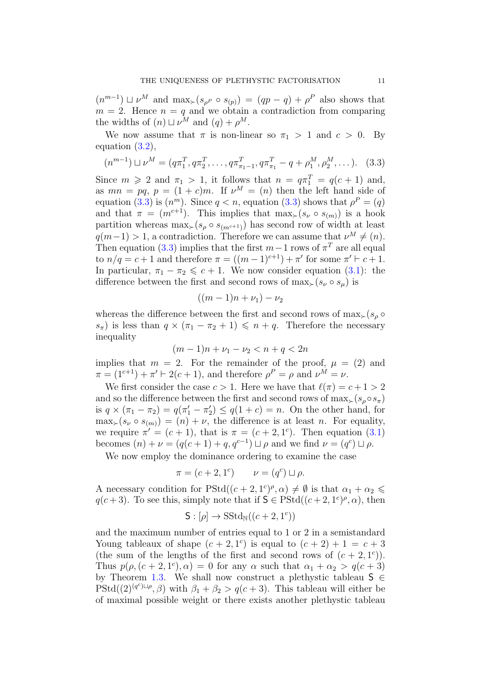$(n^{m-1}) \sqcup \nu^M$  and  $\max_{\succ}(s_{\rho^P} \circ s_{(p)}) = (qp - q) + \rho^P$  also shows that  $m = 2$ . Hence  $n = q$  and we obtain a contradiction from comparing the widths of  $(n) \sqcup \nu^M$  and  $(q) + \rho^M$ .

We now assume that  $\pi$  is non-linear so  $\pi_1 > 1$  and  $c > 0$ . By equation (3.2),

$$
(n^{m-1}) \sqcup \nu^M = (q\pi_1^T, q\pi_2^T, \dots, q\pi_{\pi_1 - 1}^T, q\pi_{\pi_1}^T - q + \rho_1^M, \rho_2^M, \dots).
$$
 (3.3)

Since  $m \geqslant 2$  and  $\pi_1 > 1$ , it follows that  $n = q\pi_1^T = q(c+1)$  and, as  $mn = pq$ ,  $p = (1+c)m$ . If  $\nu^M = (n)$  then the left hand side of equation (3.3) is  $(n^m)$ . Since  $q < n$ , equation (3.3) shows that  $\rho^P = (q)$ and that  $\pi = (m^{c+1})$ . This implies that  $\max_{\succ} (s_{\nu} \circ s_{(m)})$  is a hook partition whereas  $\max_{s}(s_p \circ s_{(me^{t+1})})$  has second row of width at least  $q(m-1) > 1$ , a contradiction. Therefore we can assume that  $\nu^M \neq (n)$ . Then equation (3.3) implies that the first  $m-1$  rows of  $\pi^T$  are all equal to  $n/q = c + 1$  and therefore  $\pi = ((m - 1)^{c+1}) + \pi'$  for some  $\pi' \vdash c + 1$ . In particular,  $\pi_1 - \pi_2 \leqslant c + 1$ . We now consider equation (3.1): the difference between the first and second rows of  $\max_{\succ} (s_{\nu} \circ s_{\mu})$  is

$$
((m-1)n+\nu_1)-\nu_2
$$

whereas the difference between the first and second rows of  $\max_{\geq} (s_o \circ$  $s_{\pi}$ ) is less than  $q \times (\pi_1 - \pi_2 + 1) \leq n + q$ . Therefore the necessary inequality

$$
(m-1)n + \nu_1 - \nu_2 < n + q < 2n
$$

implies that  $m = 2$ . For the remainder of the proof,  $\mu = (2)$  and  $\pi = (1^{c+1}) + \pi' \vdash 2(c+1)$ , and therefore  $\rho^P = \rho$  and  $\nu^M = \nu$ .

We first consider the case  $c > 1$ . Here we have that  $\ell(\pi) = c + 1 > 2$ and so the difference between the first and second rows of  $\max_{s}(s_o \circ s_{\pi})$ is  $q \times (\pi_1 - \pi_2) = q(\pi'_1 - \pi'_2) \le q(1 + c) = n$ . On the other hand, for  $\max_{s}(s_{\nu} \circ s_{(m)}) = (n) + \nu$ , the difference is at least n. For equality, we require  $\pi' = (c+1)$ , that is  $\pi = (c+2, 1^c)$ . Then equation (3.1) becomes  $(n) + \nu = (q(c+1) + q, q^{c-1}) \sqcup \rho$  and we find  $\nu = (q^c) \sqcup \rho$ .

We now employ the dominance ordering to examine the case

$$
\pi = (c+2, 1^c) \qquad \nu = (q^c) \sqcup \rho.
$$

A necessary condition for  $PStd((c+2, 1^c)^{\rho}, \alpha) \neq \emptyset$  is that  $\alpha_1 + \alpha_2 \leq$  $q(c+3)$ . To see this, simply note that if  $S \in \text{PStd}((c+2, 1^c)^{\rho}, \alpha)$ , then

$$
\mathsf{S}: [\rho] \to \mathrm{SStd}_{\mathbb{N}}((c+2, 1^c))
$$

and the maximum number of entries equal to 1 or 2 in a semistandard Young tableaux of shape  $(c+2, 1^c)$  is equal to  $(c+2)+1 = c+3$ (the sum of the lengths of the first and second rows of  $(c+2, 1<sup>c</sup>)$ ). Thus  $p(\rho, (c+2, 1^c), \alpha) = 0$  for any  $\alpha$  such that  $\alpha_1 + \alpha_2 > q(c+3)$ by Theorem 1.3. We shall now construct a plethystic tableau  $S \in$  $\text{PStd}((2)^{(q^c)\sqcup\rho}, \beta)$  with  $\beta_1 + \beta_2 > q(c+3)$ . This tableau will either be of maximal possible weight or there exists another plethystic tableau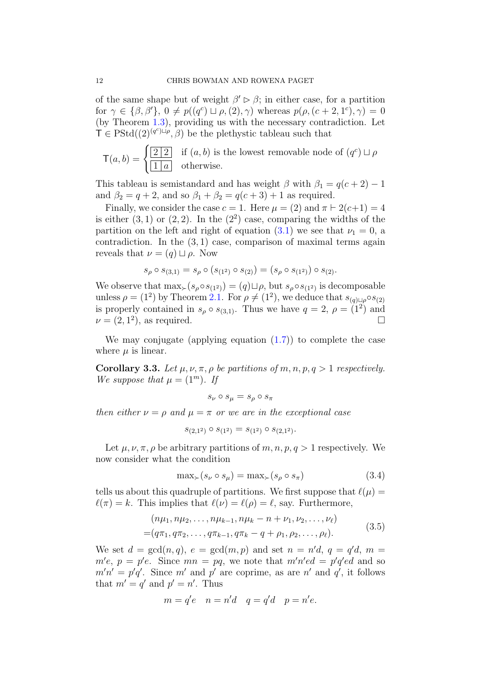of the same shape but of weight  $\beta' \triangleright \beta$ ; in either case, for a partition for  $\gamma \in \{\beta, \beta'\}, 0 \neq p((q^c) \sqcup \rho, (2), \gamma)$  whereas  $p(\rho, (c+2, 1^c), \gamma) = 0$ (by Theorem 1.3), providing us with the necessary contradiction. Let  $\mathsf{T} \in \mathrm{PStd}((2)^{(q^c) \sqcup \rho}, \beta)$  be the plethystic tableau such that

$$
\mathsf{T}(a, b) = \begin{cases} \boxed{2 \mid 2} & \text{if } (a, b) \text{ is the lowest removable node of } (q^c) \sqcup \rho \\ \boxed{1 \mid a} & \text{otherwise.} \end{cases}
$$

This tableau is semistandard and has weight  $\beta$  with  $\beta_1 = q(c+2) - 1$ and  $\beta_2 = q + 2$ , and so  $\beta_1 + \beta_2 = q(c+3) + 1$  as required.

Finally, we consider the case  $c = 1$ . Here  $\mu = (2)$  and  $\pi \vdash 2(c+1) = 4$ is either  $(3, 1)$  or  $(2, 2)$ . In the  $(2<sup>2</sup>)$  case, comparing the widths of the partition on the left and right of equation (3.1) we see that  $\nu_1 = 0$ , a contradiction. In the  $(3,1)$  case, comparison of maximal terms again reveals that  $\nu = (q) \sqcup \rho$ . Now

$$
s_{\rho} \circ s_{(3,1)} = s_{\rho} \circ (s_{(1^2)} \circ s_{(2)}) = (s_{\rho} \circ s_{(1^2)}) \circ s_{(2)}.
$$

We observe that  $\max_{\succ}(s_\rho \circ s_{(1^2)}) = (q) \sqcup \rho$ , but  $s_\rho \circ s_{(1^2)}$  is decomposable unless  $\rho = (1^2)$  by Theorem 2.1. For  $\rho \neq (1^2)$ , we deduce that  $s_{(q)\sqcup\rho} \circ s_{(2)}$ is properly contained in  $s_\rho \circ s_{(3,1)}$ . Thus we have  $q=2, \rho=(1^2)$  and  $\nu = (2, 1^2)$ , as required.

We may conjugate (applying equation (1.7)) to complete the case where  $\mu$  is linear.

Corollary 3.3. Let  $\mu$ ,  $\nu$ ,  $\pi$ ,  $\rho$  be partitions of m, n,  $p$ ,  $q > 1$  respectively. We suppose that  $\mu = (1^m)$ . If

$$
s_{\nu} \circ s_{\mu} = s_{\rho} \circ s_{\pi}
$$

then either  $\nu = \rho$  and  $\mu = \pi$  or we are in the exceptional case

$$
s_{(2,1^2)} \circ s_{(1^2)} = s_{(1^2)} \circ s_{(2,1^2)}.
$$

Let  $\mu, \nu, \pi, \rho$  be arbitrary partitions of  $m, n, p, q > 1$  respectively. We now consider what the condition

$$
\max_{\succ} (s_{\nu} \circ s_{\mu}) = \max_{\succ} (s_{\rho} \circ s_{\pi}) \tag{3.4}
$$

tells us about this quadruple of partitions. We first suppose that  $\ell(\mu) =$  $\ell(\pi) = k$ . This implies that  $\ell(\nu) = \ell(\rho) = \ell$ , say. Furthermore,

$$
(n\mu_1, n\mu_2, \dots, n\mu_{k-1}, n\mu_k - n + \nu_1, \nu_2, \dots, \nu_\ell)
$$
  
=  $(q\pi_1, q\pi_2, \dots, q\pi_{k-1}, q\pi_k - q + \rho_1, \rho_2, \dots, \rho_\ell).$  (3.5)

We set  $d = \gcd(n, q)$ ,  $e = \gcd(m, p)$  and set  $n = n'd$ ,  $q = q'd$ ,  $m =$  $m'e$ ,  $p = p'e$ . Since  $mn = pq$ , we note that  $m'n'ed = p'q'ed$  and so  $m'n' = p'q'.$  Since m' and p' are coprime, as are n' and q', it follows that  $m' = q'$  and  $p' = n'$ . Thus

$$
m = q'e \quad n = n'd \quad q = q'd \quad p = n'e.
$$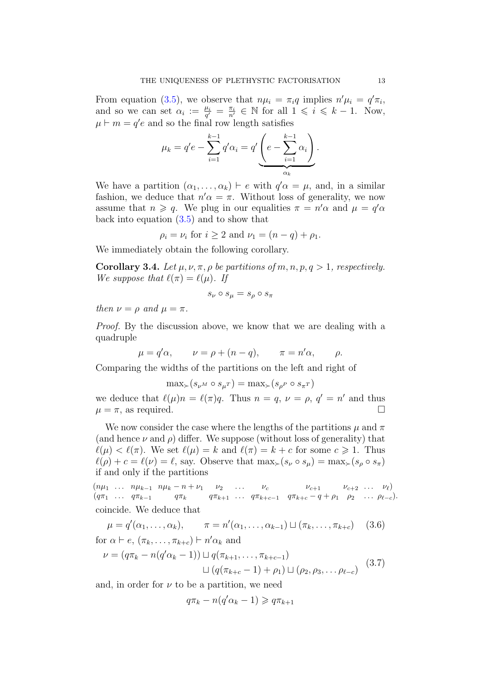From equation (3.5), we observe that  $n\mu_i = \pi_i q$  implies  $n'\mu_i = q'\pi_i$ , and so we can set  $\alpha_i := \frac{\mu_i}{q'}$  $\frac{\mu_i}{q'} = \frac{\pi_i}{n'} \in \mathbb{N}$  for all  $1 \leq i \leq k - 1$ . Now,  $\mu \vdash m = q'e$  and so the final row length satisfies

$$
\mu_k = q'e - \sum_{i=1}^{k-1} q'\alpha_i = q' \underbrace{\left(e - \sum_{i=1}^{k-1} \alpha_i\right)}_{\alpha_k}.
$$

We have a partition  $(\alpha_1, \ldots, \alpha_k) \vdash e$  with  $q' \alpha = \mu$ , and, in a similar fashion, we deduce that  $n'\alpha = \pi$ . Without loss of generality, we now assume that  $n \geqslant q$ . We plug in our equalities  $\pi = n' \alpha$  and  $\mu = q' \alpha$ back into equation (3.5) and to show that

$$
\rho_i = \nu_i
$$
 for  $i \ge 2$  and  $\nu_1 = (n - q) + \rho_1$ .

We immediately obtain the following corollary.

**Corollary 3.4.** Let  $\mu$ ,  $\nu$ ,  $\pi$ ,  $\rho$  be partitions of m, n, p,  $q > 1$ , respectively. We suppose that  $\ell(\pi) = \ell(\mu)$ . If

$$
s_{\nu} \circ s_{\mu} = s_{\rho} \circ s_{\pi}
$$

then  $\nu = \rho$  and  $\mu = \pi$ .

Proof. By the discussion above, we know that we are dealing with a quadruple

$$
\mu = q'\alpha
$$
,  $\nu = \rho + (n - q)$ ,  $\pi = n'\alpha$ ,  $\rho$ .

Comparing the widths of the partitions on the left and right of

$$
\max_{\succ} (s_{\nu^M} \circ s_{\mu^T}) = \max_{\succ} (s_{\rho^P} \circ s_{\pi^T})
$$

we deduce that  $\ell(\mu)n = \ell(\pi)q$ . Thus  $n = q$ ,  $\nu = \rho$ ,  $q' = n'$  and thus  $\mu = \pi$ , as required.

We now consider the case where the lengths of the partitions  $\mu$  and  $\pi$ (and hence  $\nu$  and  $\rho$ ) differ. We suppose (without loss of generality) that  $\ell(\mu) < \ell(\pi)$ . We set  $\ell(\mu) = k$  and  $\ell(\pi) = k + c$  for some  $c \geq 1$ . Thus  $\ell(\rho) + c = \ell(\nu) = \ell$ , say. Observe that  $\max_{\succ} (s_{\nu} \circ s_{\mu}) = \max_{\succ} (s_{\rho} \circ s_{\pi})$ if and only if the partitions

 $(n\mu_1 \ldots n\mu_{k-1} n\mu_k - n + \nu_1 \nu_2 \ldots \nu_c \nu_{c+1} \nu_{c+2} \ldots \nu_{\ell})$  $(q\pi_1 \ldots q\pi_{k-1} \ldots q\pi_k \ldots q\pi_{k+1} \ldots q\pi_{k+c-1} q\pi_{k+c} - q + \rho_1 \rho_2 \ldots \rho_{\ell-c}).$ coincide. We deduce that

$$
\mu = q'(\alpha_1, \dots, \alpha_k), \qquad \pi = n'(\alpha_1, \dots, \alpha_{k-1}) \sqcup (\pi_k, \dots, \pi_{k+c}) \quad (3.6)
$$
  
for  $\alpha \vdash e, (\pi_k, \dots, \pi_{k+c}) \vdash n' \alpha_k$  and

$$
\nu = (q\pi_k - n(q'\alpha_k - 1)) \sqcup q(\pi_{k+1}, \ldots, \pi_{k+c-1})
$$

$$
\mu_k - 1) = q(n_{k+1}, \dots, n_{k+c-1})
$$
  
\n
$$
\Box (q(\pi_{k+c} - 1) + \rho_1) \Box (\rho_2, \rho_3, \dots \rho_{\ell-c})
$$
 (3.7)

and, in order for  $\nu$  to be a partition, we need

$$
q\pi_k - n(q'\alpha_k - 1) \geqslant q\pi_{k+1}
$$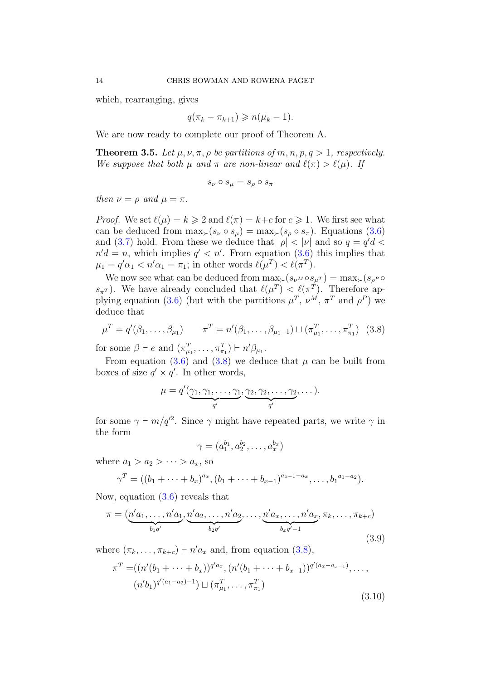which, rearranging, gives

$$
q(\pi_k - \pi_{k+1}) \geqslant n(\mu_k - 1).
$$

We are now ready to complete our proof of Theorem A.

**Theorem 3.5.** Let  $\mu$ ,  $\nu$ ,  $\pi$ ,  $\rho$  be partitions of  $m$ ,  $n$ ,  $p$ ,  $q > 1$ , respectively. We suppose that both  $\mu$  and  $\pi$  are non-linear and  $\ell(\pi) > \ell(\mu)$ . If

$$
s_{\nu} \circ s_{\mu} = s_{\rho} \circ s_{\pi}
$$

then  $\nu = \rho$  and  $\mu = \pi$ .

*Proof.* We set  $\ell(\mu) = k \geq 2$  and  $\ell(\pi) = k+c$  for  $c \geq 1$ . We first see what can be deduced from  $\max_{\succ}(s_{\nu} \circ s_{\mu}) = \max_{\succ}(s_{\rho} \circ s_{\pi})$ . Equations (3.6) and (3.7) hold. From these we deduce that  $|\rho| < |\nu|$  and so  $q = q'd$  $n'd = n$ , which implies  $q' < n'$ . From equation (3.6) this implies that  $\mu_1 = q' \alpha_1 < n' \alpha_1 = \pi_1$ ; in other words  $\ell(\mu^T) < \ell(\pi^T)$ .

We now see what can be deduced from  $\max_{s}(s_{\nu^M} \circ s_{\nu^T}) = \max_{s}(s_{\nu^P} \circ$  $s_{\pi^T}$ ). We have already concluded that  $\ell(\mu^T) < \ell(\pi^T)$ . Therefore applying equation (3.6) (but with the partitions  $\mu^T$ ,  $\nu^M$ ,  $\pi^T$  and  $\rho^P$ ) we deduce that

$$
\mu^T = q'(\beta_1, ..., \beta_{\mu_1}) \qquad \pi^T = n'(\beta_1, ..., \beta_{\mu_1 - 1}) \sqcup (\pi_{\mu_1}^T, ..., \pi_{\pi_1}^T) \quad (3.8)
$$

for some  $\beta \vdash e$  and  $(\pi_{\mu_1}^T, \ldots, \pi_{\pi_1}^T) \vdash n' \beta_{\mu_1}$ .

From equation (3.6) and (3.8) we deduce that  $\mu$  can be built from boxes of size  $q' \times q'$ . In other words,

$$
\mu = q'(\underbrace{\gamma_1, \gamma_1, \ldots, \gamma_1}_{q'}, \underbrace{\gamma_2, \gamma_2, \ldots, \gamma_2}_{q'}, \ldots).
$$

for some  $\gamma \vdash m/q'^2$ . Since  $\gamma$  might have repeated parts, we write  $\gamma$  in the form

$$
\gamma = (a_1^{b_1}, a_2^{b_2}, \dots, a_x^{b_x})
$$

where  $a_1 > a_2 > \cdots > a_x$ , so

$$
\gamma^T = ((b_1 + \dots + b_x)^{a_x}, (b_1 + \dots + b_{x-1})^{a_{x-1}-a_x}, \dots, b_1^{a_1-a_2}).
$$

Now, equation (3.6) reveals that

$$
\pi = (\underbrace{n'a_1, \dots, n'a_1}_{b_1q'}, \underbrace{n'a_2, \dots, n'a_2}_{b_2q'}, \dots, \underbrace{n'a_x, \dots, n'a_x}_{b_xq'-1}, \pi_k, \dots, \pi_{k+c})
$$
\n(3.9)

where  $(\pi_k, \ldots, \pi_{k+c}) \vdash n'a_x$  and, from equation (3.8),

$$
\pi^T = ((n'(b_1 + \dots + b_x))^{q' a_x}, (n'(b_1 + \dots + b_{x-1}))^{q'(a_x - a_{x-1})}, \dots, (n'b_1)^{q'(a_1 - a_2) - 1}) \sqcup (\pi^T_{\mu_1}, \dots, \pi^T_{\pi_1})
$$
\n(3.10)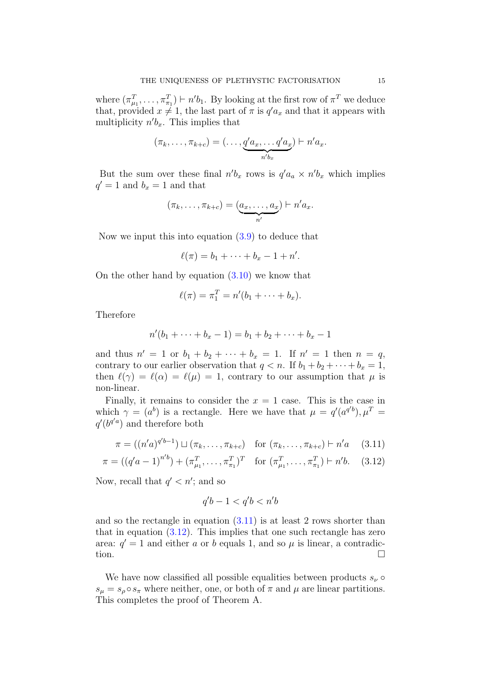where  $(\pi_{\mu_1}^T, \ldots, \pi_{\pi_1}^T) \vdash n'b_1$ . By looking at the first row of  $\pi^T$  we deduce that, provided  $x \neq 1$ , the last part of  $\pi$  is  $q' a_x$  and that it appears with multiplicity  $n'b_x$ . This implies that

$$
(\pi_k,\ldots,\pi_{k+c})=(\ldots,\underbrace{q'a_x,\ldots,q'a_x}_{n'b_x})\vdash n'a_x.
$$

But the sum over these final  $n'b_x$  rows is  $q'a_a \times n'b_x$  which implies  $q' = 1$  and  $b_x = 1$  and that

$$
(\pi_k,\ldots,\pi_{k+c})=\underbrace{(a_x,\ldots,a_x)}_{n'}\vdash n'a_x.
$$

Now we input this into equation (3.9) to deduce that

$$
\ell(\pi) = b_1 + \cdots + b_x - 1 + n'.
$$

On the other hand by equation  $(3.10)$  we know that

$$
\ell(\pi) = \pi_1^T = n'(b_1 + \cdots + b_x).
$$

Therefore

$$
n'(b_1 + \dots + b_x - 1) = b_1 + b_2 + \dots + b_x - 1
$$

and thus  $n' = 1$  or  $b_1 + b_2 + \cdots + b_x = 1$ . If  $n' = 1$  then  $n = q$ , contrary to our earlier observation that  $q < n$ . If  $b_1 + b_2 + \cdots + b_x = 1$ , then  $\ell(\gamma) = \ell(\alpha) = \ell(\mu) = 1$ , contrary to our assumption that  $\mu$  is non-linear.

Finally, it remains to consider the  $x = 1$  case. This is the case in which  $\gamma = (a^b)$  is a rectangle. Here we have that  $\mu = q'(a^{q'b})$ ,  $\mu^T =$  $q'(b^{q'a})$  and therefore both

$$
\pi = ((n'a)^{q'b-1}) \sqcup (\pi_k, \dots, \pi_{k+c}) \quad \text{for } (\pi_k, \dots, \pi_{k+c}) \vdash n'a \quad (3.11)
$$

$$
\pi = ((q' a - 1)^{n'b}) + (\pi_{\mu_1}^T, \dots, \pi_{\pi_1}^T)^T \text{ for } (\pi_{\mu_1}^T, \dots, \pi_{\pi_1}^T) \vdash n'b. \quad (3.12)
$$

Now, recall that  $q' < n'$ ; and so

$$
q'b - 1 < q'b < n'b
$$

and so the rectangle in equation (3.11) is at least 2 rows shorter than that in equation  $(3.12)$ . This implies that one such rectangle has zero area:  $q' = 1$  and either a or b equals 1, and so  $\mu$  is linear, a contradiction.

We have now classified all possible equalities between products  $s_{\nu} \circ$  $s_{\mu} = s_{\rho} \circ s_{\pi}$  where neither, one, or both of  $\pi$  and  $\mu$  are linear partitions. This completes the proof of Theorem A.